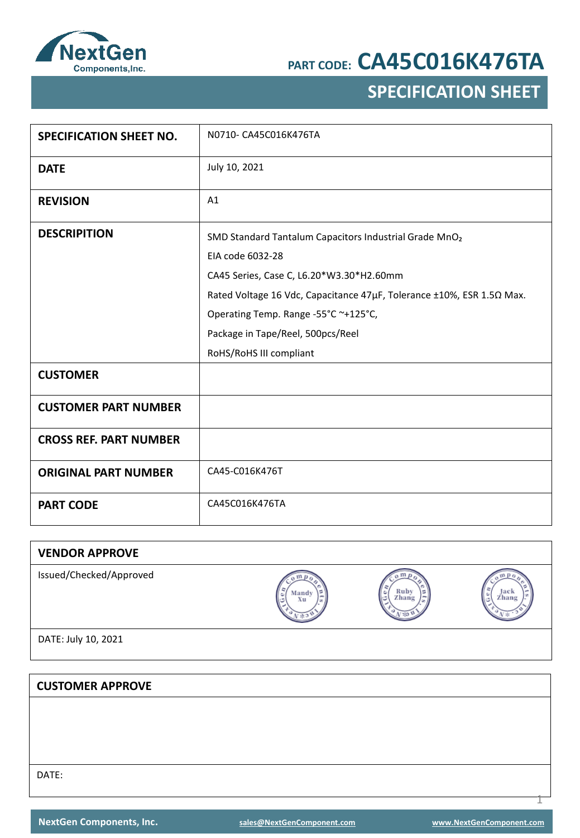

## **SPECIFICATION SHEET**

| <b>SPECIFICATION SHEET NO.</b> | N0710- CA45C016K476TA                                                                                                                                                                                                                                                                                   |
|--------------------------------|---------------------------------------------------------------------------------------------------------------------------------------------------------------------------------------------------------------------------------------------------------------------------------------------------------|
| <b>DATE</b>                    | July 10, 2021                                                                                                                                                                                                                                                                                           |
| <b>REVISION</b>                | A1                                                                                                                                                                                                                                                                                                      |
| <b>DESCRIPITION</b>            | SMD Standard Tantalum Capacitors Industrial Grade MnO2<br>EIA code 6032-28<br>CA45 Series, Case C, L6.20*W3.30*H2.60mm<br>Rated Voltage 16 Vdc, Capacitance 47μF, Tolerance ±10%, ESR 1.5Ω Max.<br>Operating Temp. Range -55°C ~+125°C,<br>Package in Tape/Reel, 500pcs/Reel<br>RoHS/RoHS III compliant |
| <b>CUSTOMER</b>                |                                                                                                                                                                                                                                                                                                         |
| <b>CUSTOMER PART NUMBER</b>    |                                                                                                                                                                                                                                                                                                         |
| <b>CROSS REF. PART NUMBER</b>  |                                                                                                                                                                                                                                                                                                         |
| <b>ORIGINAL PART NUMBER</b>    | CA45-C016K476T                                                                                                                                                                                                                                                                                          |
| <b>PART CODE</b>               | CA45C016K476TA                                                                                                                                                                                                                                                                                          |

| <b>VENDOR APPROVE</b>   |                  |                           |                    |
|-------------------------|------------------|---------------------------|--------------------|
| Issued/Checked/Approved | Mandy<br>e<br>Xu | Ruby<br>۱c<br>Zhang<br>l⊂ | Jack<br>Zhang<br>ی |
| DATE: July 10, 2021     |                  |                           |                    |
|                         |                  |                           |                    |

DATE:

**CUSTOMER APPROVE**

1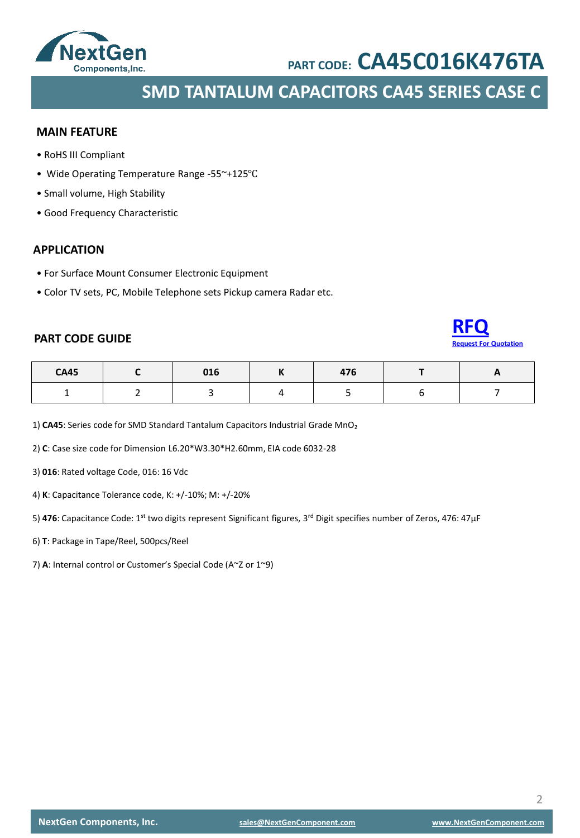

**SMD TANTALUM CAPACITORS CA45 SERIES CASE C**

### **MAIN FEATURE**

- RoHS III Compliant
- Wide Operating Temperature Range -55~+125℃
- Small volume, High Stability
- Good Frequency Characteristic

### **APPLICATION**

- For Surface Mount Consumer Electronic Equipment
- Color TV sets, PC, Mobile Telephone sets Pickup camera Radar etc.

### **PART CODE GUIDE**



| <b>CA45</b> | 016 | $- - -$<br>- , c | - - |
|-------------|-----|------------------|-----|
|             |     |                  |     |

1) CA45: Series code for SMD Standard Tantalum Capacitors Industrial Grade MnO<sub>2</sub>

2) **C**: Case size code for Dimension L6.20\*W3.30\*H2.60mm, EIA code 6032-28

3) **016**: Rated voltage Code, 016: 16 Vdc

4) **K**: Capacitance Tolerance code, K: +/-10%; M: +/-20%

5) **476**: Capacitance Code: 1st two digits represent Significant figures, 3rd Digit specifies number of Zeros, 476: 47μF

- 6) **T**: Package in Tape/Reel, 500pcs/Reel
- 7) **A**: Internal control or Customer's Special Code (A~Z or 1~9)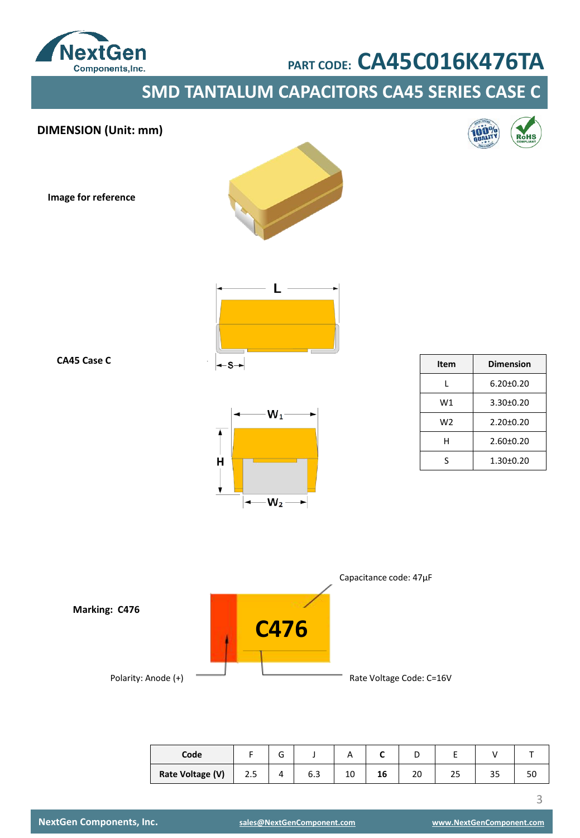

**SMD TANTALUM CAPACITORS CA45 SERIES CASE C**





| Code             |     | ∽<br>G |     |    |    | ╌  |    |    |    |
|------------------|-----|--------|-----|----|----|----|----|----|----|
| Rate Voltage (V) | 2.5 |        | b.3 | 10 | 16 | 20 | 23 | رر | οu |

3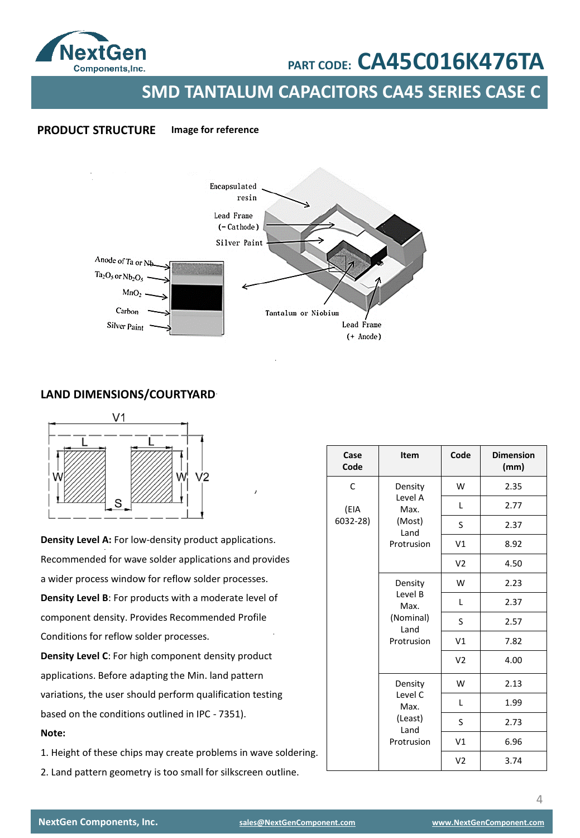

**SMD TANTALUM CAPACITORS CA45 SERIES CASE C**

### **PRODUCT STRUCTURE Image for reference**



### **LAND DIMENSIONS/COURTYARD**



**Density Level A:** For low-density product applications. Recommended for wave solder applications and provides a wider process window for reflow solder processes. **Density Level B**: For products with a moderate level of component density. Provides Recommended Profile Conditions for reflow solder processes. **Density Level C**: For high component density product

applications. Before adapting the Min. land pattern variations, the user should perform qualification testing based on the conditions outlined in IPC - 7351). **Note:** 

1. Height of these chips may create problems in wave soldering.

2. Land pattern geometry is too small for silkscreen outline.

| Case<br>Code | Item                                                        | Code           | <b>Dimension</b><br>(mm) |
|--------------|-------------------------------------------------------------|----------------|--------------------------|
| C            | Density                                                     | W              | 2.35                     |
| (EIA         | Level A<br>Max.                                             | L              | 2.77                     |
| 6032-28)     | (Most)                                                      | S              | 2.37                     |
|              | Land<br>Protrusion                                          | V1             | 8.92                     |
|              |                                                             | V <sub>2</sub> | 4.50                     |
|              | Density                                                     | W              | 2.23                     |
|              | Level B<br>Max.<br>(Nominal)<br>Land<br>Protrusion          | Г              | 2.37                     |
|              |                                                             | S              | 2.57                     |
|              |                                                             | V1             | 7.82                     |
|              |                                                             | V <sub>2</sub> | 4.00                     |
|              | Density<br>Level C<br>Max.<br>(Least)<br>Land<br>Protrusion | W              | 2.13                     |
|              |                                                             | L              | 1.99                     |
|              |                                                             | S              | 2.73                     |
|              |                                                             | V1             | 6.96                     |
|              |                                                             | V <sub>2</sub> | 3.74                     |

4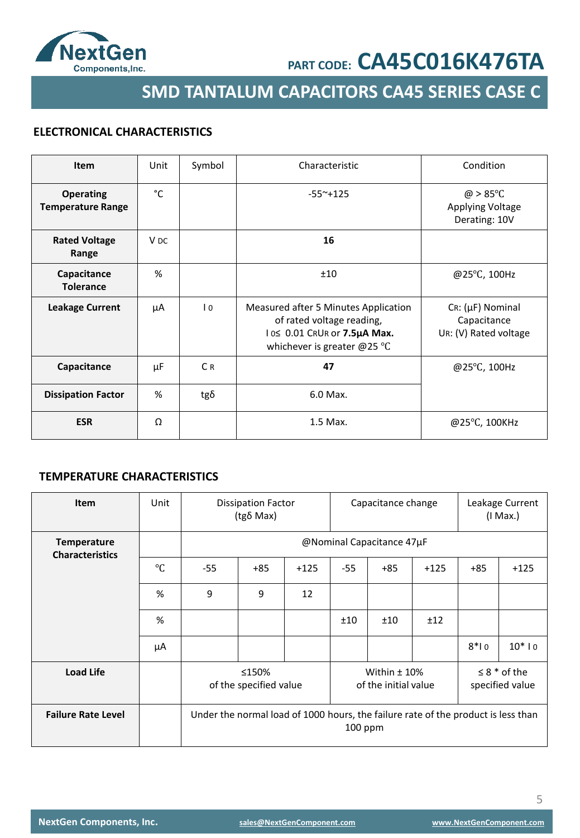

**SMD TANTALUM CAPACITORS CA45 SERIES CASE C**

## **ELECTRONICAL CHARACTERISTICS**

| Item                                         | Unit            | Symbol         | Characteristic                                                                                                                            | Condition                                                           |
|----------------------------------------------|-----------------|----------------|-------------------------------------------------------------------------------------------------------------------------------------------|---------------------------------------------------------------------|
| <b>Operating</b><br><b>Temperature Range</b> | °C              |                | $-55^{\sim}+125$                                                                                                                          | $\omega > 85^{\circ}$ C<br><b>Applying Voltage</b><br>Derating: 10V |
| <b>Rated Voltage</b><br>Range                | V <sub>DC</sub> |                | 16                                                                                                                                        |                                                                     |
| Capacitance<br><b>Tolerance</b>              | %               |                | ±10                                                                                                                                       | @25°C, 100Hz                                                        |
| <b>Leakage Current</b>                       | μA              | $\overline{0}$ | Measured after 5 Minutes Application<br>of rated voltage reading,<br>10≤ 0.01 CRUR or 7.5µA Max.<br>whichever is greater @25 $^{\circ}$ C | $Cr: (\mu F)$ Nominal<br>Capacitance<br>UR: (V) Rated voltage       |
| Capacitance                                  | μF              | C <sub>R</sub> | 47                                                                                                                                        | @25°C, 100Hz                                                        |
| <b>Dissipation Factor</b>                    | %               | $tg\delta$     | 6.0 Max.                                                                                                                                  |                                                                     |
| <b>ESR</b>                                   | Ω               |                | 1.5 Max.                                                                                                                                  | @25°C, 100KHz                                                       |

## **TEMPERATURE CHARACTERISTICS**

| <b>Item</b>                                  | Unit      | <b>Dissipation Factor</b><br>(tgδ Max)                                                                            |       |        | Capacitance change |                           |        |        | Leakage Current<br>$(1$ Max.) |
|----------------------------------------------|-----------|-------------------------------------------------------------------------------------------------------------------|-------|--------|--------------------|---------------------------|--------|--------|-------------------------------|
| <b>Temperature</b><br><b>Characteristics</b> |           |                                                                                                                   |       |        |                    | @Nominal Capacitance 47µF |        |        |                               |
|                                              | $\circ$ C | $-55$                                                                                                             | $+85$ | $+125$ | $-55$              | $+85$                     | $+125$ | $+85$  | $+125$                        |
|                                              | %         | 9                                                                                                                 | 9     | 12     |                    |                           |        |        |                               |
|                                              | %         |                                                                                                                   |       |        | ±10                | ±10                       | ±12    |        |                               |
|                                              | μA        |                                                                                                                   |       |        |                    |                           |        | $8*10$ | $10*10$                       |
| <b>Load Life</b>                             |           | $\leq 8$ * of the<br>≤150%<br>Within $±$ 10%<br>of the specified value<br>of the initial value<br>specified value |       |        |                    |                           |        |        |                               |
| <b>Failure Rate Level</b>                    |           | Under the normal load of 1000 hours, the failure rate of the product is less than<br>100 ppm                      |       |        |                    |                           |        |        |                               |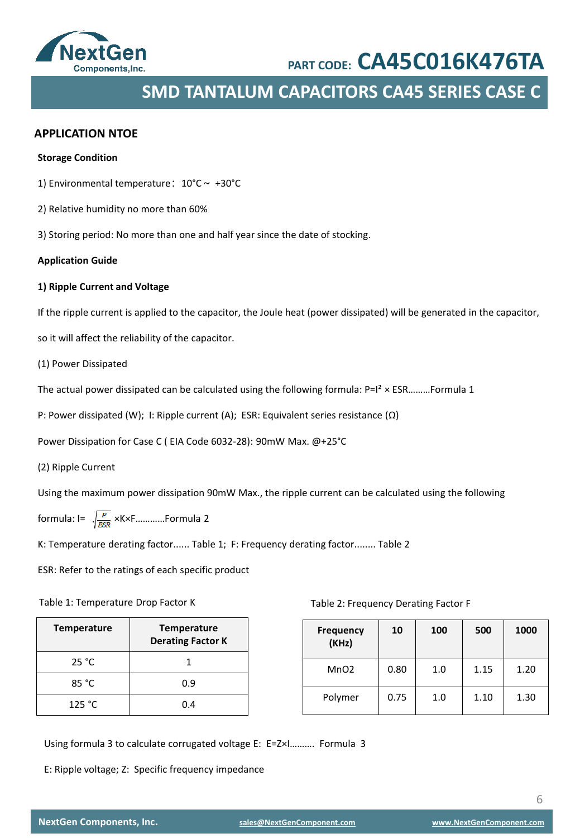

## **SMD TANTALUM CAPACITORS CA45 SERIES CASE C**

### **APPLICATION NTOE**

### **Storage Condition**

1) Environmental temperature:  $10^{\circ}$ C ~ +30°C

- 2) Relative humidity no more than 60%
- 3) Storing period: No more than one and half year since the date of stocking.

#### **Application Guide**

#### **1) Ripple Current and Voltage**

If the ripple current is applied to the capacitor, the Joule heat (power dissipated) will be generated in the capacitor,

so it will affect the reliability of the capacitor.

(1) Power Dissipated

The actual power dissipated can be calculated using the following formula:  $P=I^2 \times ESR$ ………Formula 1

P: Power dissipated (W); I: Ripple current (A); ESR: Equivalent series resistance (Ω)

Power Dissipation for Case C ( EIA Code 6032-28): 90mW Max. @+25°C

(2) Ripple Current

Using the maximum power dissipation 90mW Max., the ripple current can be calculated using the following

formula:  $I = \sqrt{\frac{P}{ESR}}$  ×K×F............Formula 2

K: Temperature derating factor...... Table 1; F: Frequency derating factor........ Table 2

ESR: Refer to the ratings of each specific product

### Table 1: Temperature Drop Factor K

| <b>Temperature</b> | <b>Temperature</b><br><b>Derating Factor K</b> |
|--------------------|------------------------------------------------|
| 25 °C              |                                                |
| 85 °C              | 0.9                                            |
| 125 °C             | በ 4                                            |

Table 2: Frequency Derating Factor F

| <b>Frequency</b><br>(KHz) | 10   | 100 | 500  | 1000 |
|---------------------------|------|-----|------|------|
| MnO <sub>2</sub>          | 0.80 | 1.0 | 1.15 | 1.20 |
| Polymer                   | 0.75 | 1.0 | 1.10 | 1.30 |

Using formula 3 to calculate corrugated voltage E: E=Z×I………. Formula 3

E: Ripple voltage; Z: Specific frequency impedance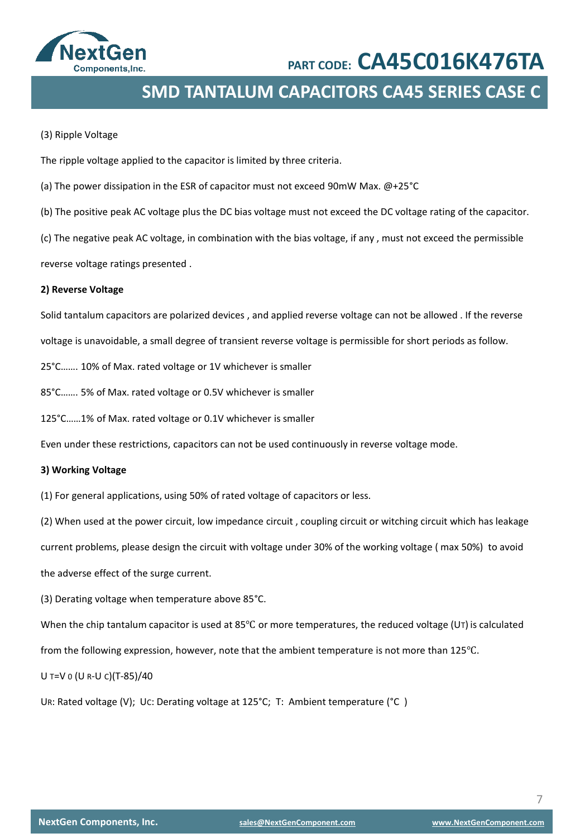

**SMD TANTALUM CAPACITORS CA45 SERIES CASE C**

### (3) Ripple Voltage

The ripple voltage applied to the capacitor is limited by three criteria.

- (a) The power dissipation in the ESR of capacitor must not exceed 90mW Max. @+25°C
- (b) The positive peak AC voltage plus the DC bias voltage must not exceed the DC voltage rating of the capacitor.

(c) The negative peak AC voltage, in combination with the bias voltage, if any , must not exceed the permissible

reverse voltage ratings presented .

### **2) Reverse Voltage**

Solid tantalum capacitors are polarized devices , and applied reverse voltage can not be allowed . If the reverse

voltage is unavoidable, a small degree of transient reverse voltage is permissible for short periods as follow.

25°C……. 10% of Max. rated voltage or 1V whichever is smaller

85°C……. 5% of Max. rated voltage or 0.5V whichever is smaller

125°C……1% of Max. rated voltage or 0.1V whichever is smaller

Even under these restrictions, capacitors can not be used continuously in reverse voltage mode.

### **3) Working Voltage**

(1) For general applications, using 50% of rated voltage of capacitors or less.

(2) When used at the power circuit, low impedance circuit , coupling circuit or witching circuit which has leakage current problems, please design the circuit with voltage under 30% of the working voltage ( max 50%) to avoid

the adverse effect of the surge current.

(3) Derating voltage when temperature above 85°C.

When the chip tantalum capacitor is used at 85<sup>°</sup>C or more temperatures, the reduced voltage (UT) is calculated

from the following expression, however, note that the ambient temperature is not more than 125℃.

U T=V 0 (U R-U C)(T-85)/40

UR: Rated voltage (V); UC: Derating voltage at 125°C; T: Ambient temperature (°C )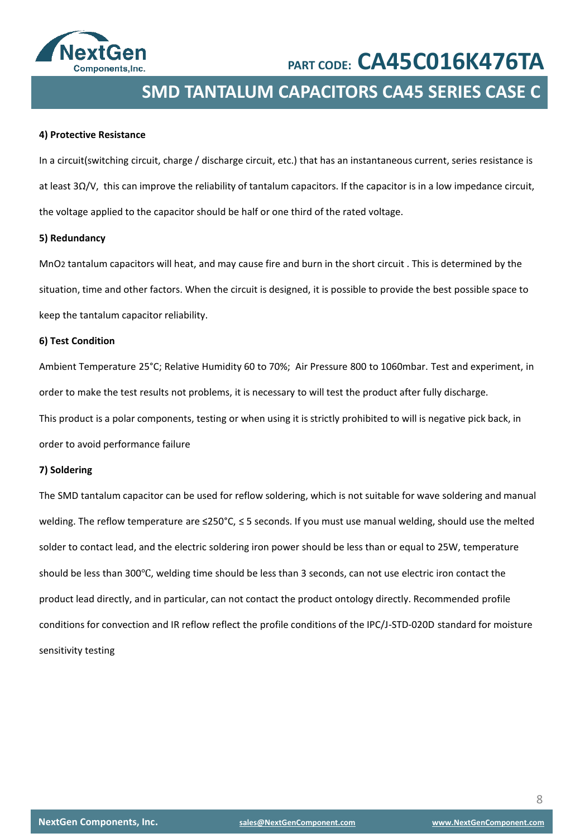

## **SMD TANTALUM CAPACITORS CA45 SERIES CASE C**

### **4) Protective Resistance**

In a circuit(switching circuit, charge / discharge circuit, etc.) that has an instantaneous current, series resistance is at least 3Ω/V, this can improve the reliability of tantalum capacitors. If the capacitor is in a low impedance circuit, the voltage applied to the capacitor should be half or one third of the rated voltage.

### **5) Redundancy**

MnO2 tantalum capacitors will heat, and may cause fire and burn in the short circuit . This is determined by the situation, time and other factors. When the circuit is designed, it is possible to provide the best possible space to keep the tantalum capacitor reliability.

### **6) Test Condition**

Ambient Temperature 25°C; Relative Humidity 60 to 70%; Air Pressure 800 to 1060mbar. Test and experiment, in order to make the test results not problems, it is necessary to will test the product after fully discharge. This product is a polar components, testing or when using it is strictly prohibited to will is negative pick back, in order to avoid performance failure

### **7) Soldering**

The SMD tantalum capacitor can be used for reflow soldering, which is not suitable for wave soldering and manual welding. The reflow temperature are ≤250°C, ≤ 5 seconds. If you must use manual welding, should use the melted solder to contact lead, and the electric soldering iron power should be less than or equal to 25W, temperature should be less than 300℃, welding time should be less than 3 seconds, can not use electric iron contact the product lead directly, and in particular, can not contact the product ontology directly. Recommended profile conditions for convection and IR reflow reflect the profile conditions of the IPC/J-STD-020D standard for moisture sensitivity testing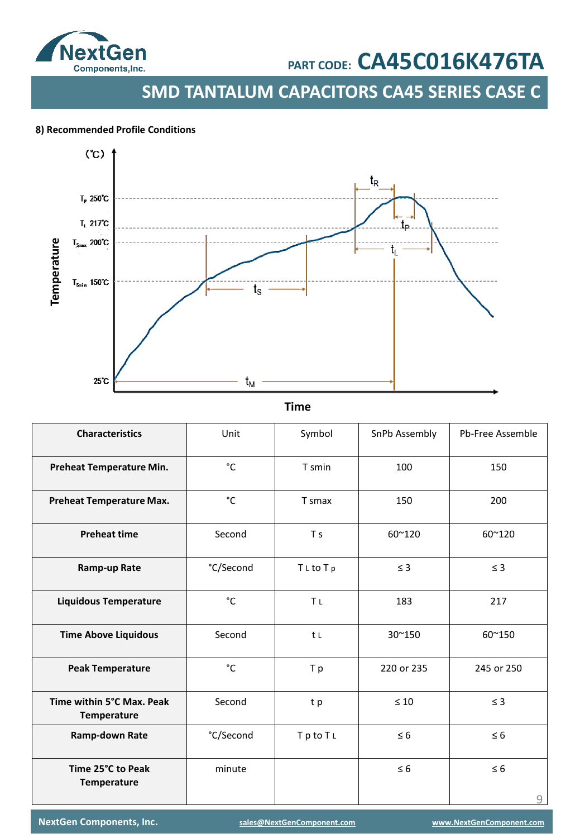

**SMD TANTALUM CAPACITORS CA45 SERIES CASE C**

### . **8) Recommended Profile Conditions**



**Time**

| <b>Characteristics</b>                   | Unit      | Symbol                | SnPb Assembly | Pb-Free Assemble |
|------------------------------------------|-----------|-----------------------|---------------|------------------|
| Preheat Temperature Min.                 | °C        | T smin                | 100           | 150              |
| <b>Preheat Temperature Max.</b>          | °C        | T smax                | 150           | 200              |
| <b>Preheat time</b>                      | Second    | T <sub>s</sub>        | 60~120        | 60~120           |
| Ramp-up Rate                             | °C/Second | TLtoTp                | $\leq$ 3      | $\leq$ 3         |
| <b>Liquidous Temperature</b>             | °C        | <b>Τ</b> <sub>L</sub> | 183           | 217              |
| <b>Time Above Liquidous</b>              | Second    | t L                   | 30~150        | 60~150           |
| <b>Peak Temperature</b>                  | °C        | T p                   | 220 or 235    | 245 or 250       |
| Time within 5°C Max. Peak<br>Temperature | Second    | t p                   | $\leq 10$     | $\leq$ 3         |
| Ramp-down Rate                           | °C/Second | TptoTL                | $\leq 6$      | $\leq 6$         |
| Time 25°C to Peak<br>Temperature         | minute    |                       | $\leq 6$      | $\leq 6$<br>9    |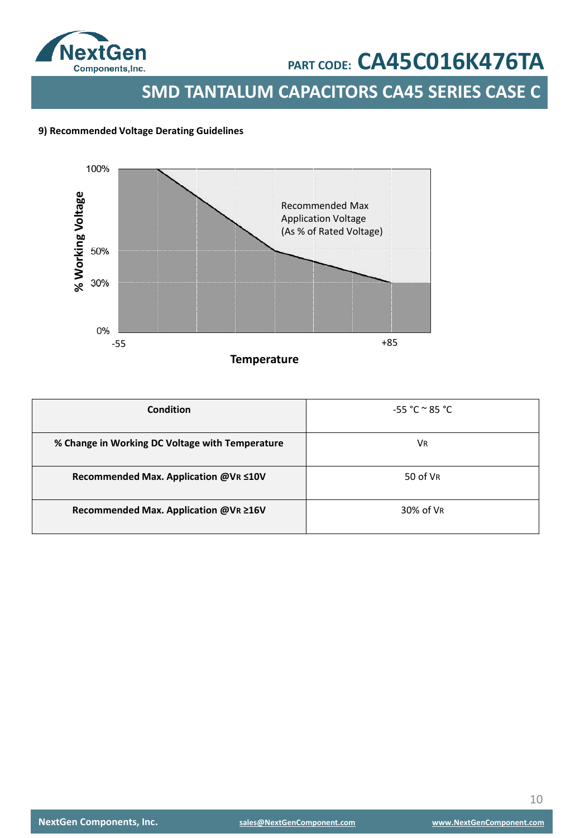

**SMD TANTALUM CAPACITORS CA45 SERIES CASE C**

### **9) Recommended Voltage Derating Guidelines**



| <b>Condition</b>                                | $-55 °C ° 85 °C$ |
|-------------------------------------------------|------------------|
| % Change in Working DC Voltage with Temperature | Vr               |
| Recommended Max. Application @VR ≤10V           | 50 of VR         |
| Recommended Max. Application @VR ≥16V           | 30% of VR        |